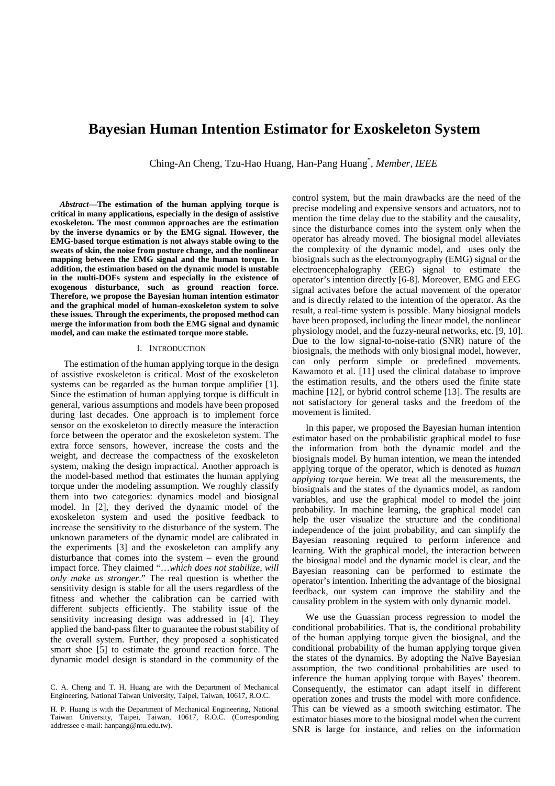# **Bayesian Human Intention Estimator for Exoskeleton System**

Ching-An Cheng, Tzu-Hao Huang, Han-Pang Huang\* , *Member, IEEE*

*Abstract***—The estimation of the human applying torque is critical in many applications, especially in the design of assistive exoskeleton. The most common approaches are the estimation by the inverse dynamics or by the EMG signal. However, the EMG-based torque estimation is not always stable owing to the sweats of skin, the noise from posture change, and the nonlinear mapping between the EMG signal and the human torque. In addition, the estimation based on the dynamic model is unstable in the multi-DOFs system and especially in the existence of exogenous disturbance, such as ground reaction force. Therefore, we propose the Bayesian human intention estimator and the graphical model of human-exoskeleton system to solve these issues. Through the experiments, the proposed method can merge the information from both the EMG signal and dynamic model, and can make the estimated torque more stable.** 

#### I. INTRODUCTION

The estimation of the human applying torque in the design of assistive exoskeleton is critical. Most of the exoskeleton systems can be regarded as the human torque amplifier [1]. Since the estimation of human applying torque is difficult in general, various assumptions and models have been proposed during last decades. One approach is to implement force sensor on the exoskeleton to directly measure the interaction force between the operator and the exoskeleton system. The extra force sensors, however, increase the costs and the weight, and decrease the compactness of the exoskeleton system, making the design impractical. Another approach is the model-based method that estimates the human applying torque under the modeling assumption. We roughly classify them into two categories: dynamics model and biosignal model. In [2], they derived the dynamic model of the exoskeleton system and used the positive feedback to increase the sensitivity to the disturbance of the system. The unknown parameters of the dynamic model are calibrated in the experiments [3] and the exoskeleton can amplify any disturbance that comes into the system – even the ground impact force. They claimed "…*which does not stabilize, will only make us stronger*." The real question is whether the sensitivity design is stable for all the users regardless of the fitness and whether the calibration can be carried with different subjects efficiently. The stability issue of the sensitivity increasing design was addressed in [4]. They applied the band-pass filter to guarantee the robust stability of the overall system. Further, they proposed a sophisticated smart shoe [5] to estimate the ground reaction force. The dynamic model design is standard in the community of the

control system, but the main drawbacks are the need of the precise modeling and expensive sensors and actuators, not to mention the time delay due to the stability and the causality, since the disturbance comes into the system only when the operator has already moved. The biosignal model alleviates the complexity of the dynamic model, and uses only the biosignals such as the electromyography (EMG) signal or the electroencephalography (EEG) signal to estimate the operator's intention directly [6-8]. Moreover, EMG and EEG signal activates before the actual movement of the operator and is directly related to the intention of the operator. As the result, a real-time system is possible. Many biosignal models have been proposed, including the linear model, the nonlinear physiology model, and the fuzzy-neural networks, etc. [9, 10]. Due to the low signal-to-noise-ratio (SNR) nature of the biosignals, the methods with only biosignal model, however, can only perform simple or predefined movements. Kawamoto et al. [11] used the clinical database to improve the estimation results, and the others used the finite state machine [12], or hybrid control scheme [13]. The results are not satisfactory for general tasks and the freedom of the movement is limited.

In this paper, we proposed the Bayesian human intention estimator based on the probabilistic graphical model to fuse the information from both the dynamic model and the biosignals model. By human intention, we mean the intended applying torque of the operator, which is denoted as *human applying torque* herein. We treat all the measurements, the biosignals and the states of the dynamics model, as random variables, and use the graphical model to model the joint probability. In machine learning, the graphical model can help the user visualize the structure and the conditional independence of the joint probability, and can simplify the Bayesian reasoning required to perform inference and learning. With the graphical model, the interaction between the biosignal model and the dynamic model is clear, and the Bayesian reasoning can be performed to estimate the operator's intention. Inheriting the advantage of the biosignal feedback, our system can improve the stability and the causality problem in the system with only dynamic model.

We use the Guassian process regression to model the conditional probabilities. That is, the conditional probability of the human applying torque given the biosignal, and the conditional probability of the human applying torque given the states of the dynamics. By adopting the Naïve Bayesian assumption, the two conditional probabilities are used to inference the human applying torque with Bayes' theorem. Consequently, the estimator can adapt itself in different operation zones and trusts the model with more confidence. This can be viewed as a smooth switching estimator. The estimator biases more to the biosignal model when the current SNR is large for instance, and relies on the information

C. A. Cheng and T. H. Huang are with the Department of Mechanical Engineering, National Taiwan University, Taipei, Taiwan, 10617, R.O.C.

H. P. Huang is with the Department of Mechanical Engineering, National Taiwan University, Taipei, Taiwan, 10617, R.O.C. (Corresponding addressee e-mail: hanpang@ntu.edu.tw).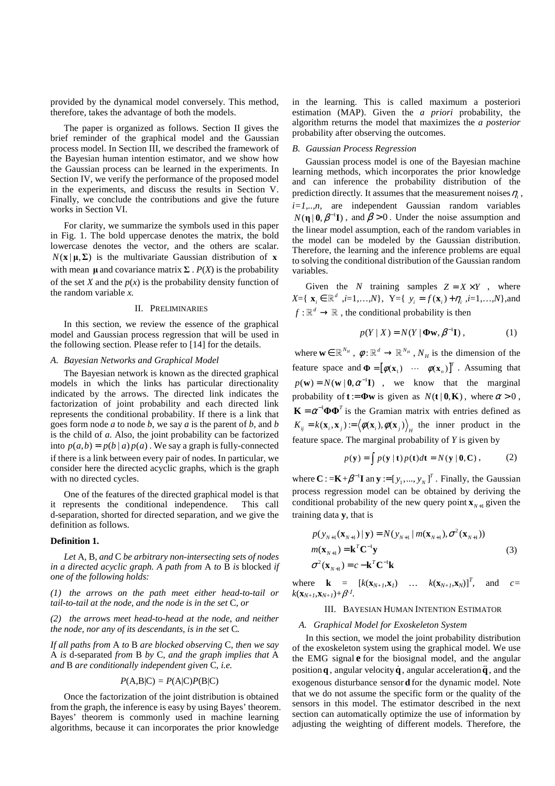provided by the dynamical model conversely. This method, therefore, takes the advantage of both the models.

The paper is organized as follows. Section II gives the brief reminder of the graphical model and the Gaussian process model. In Section III, we described the framework of the Bayesian human intention estimator, and we show how the Gaussian process can be learned in the experiments. In Section IV, we verify the performance of the proposed model in the experiments, and discuss the results in Section V. Finally, we conclude the contributions and give the future works in Section VI.

For clarity, we summarize the symbols used in this paper in Fig. 1. The bold uppercase denotes the matrix, the bold lowercase denotes the vector, and the others are scalar.  $N(\mathbf{x} | \boldsymbol{\mu}, \boldsymbol{\Sigma})$  is the multivariate Gaussian distribution of **x** with mean  $\mu$  and covariance matrix  $\Sigma$ .  $P(X)$  is the probability of the set *X* and the  $p(x)$  is the probability density function of the random variable *x.*

#### II. PRELIMINARIES

In this section, we review the essence of the graphical model and Gaussian process regression that will be used in the following section. Please refer to [14] for the details.

#### *A. Bayesian Networks and Graphical Model*

The Bayesian network is known as the directed graphical models in which the links has particular directionality indicated by the arrows. The directed link indicates the factorization of joint probability and each directed link represents the conditional probability. If there is a link that goes form node *a* to node *b*, we say *a* is the parent of *b*, and *b* is the child of *a*. Also, the joint probability can be factorized into  $p(a,b) = p(b \mid a) p(a)$ . We say a graph is fully-connected if there is a link between every pair of nodes. In particular, we consider here the directed acyclic graphs, which is the graph with no directed cycles.

One of the features of the directed graphical model is that it represents the conditional independence. This call d-separation, shorted for directed separation, and we give the definition as follows.

## **Definition 1.**

*Let* A*,* B*, and* C *be arbitrary non-intersecting sets of nodes in a directed acyclic graph. A path from* A *to* B *is* blocked *if one of the following holds:* 

*(1) the arrows on the path meet either head-to-tail or tail-to-tail at the node, and the node is in the set* C*, or* 

*(2) the arrows meet head-to-head at the node, and neither the node, nor any of its descendants, is in the set* C*.* 

*If all paths from* A *to* B *are blocked observing* C*, then we say*  A *is* d-separated *from* B *by* C*, and the graph implies that* A *and* B *are conditionally independent given* C, *i.e.* 

$$
P(A, B|C) = P(A|C)P(B|C)
$$

Once the factorization of the joint distribution is obtained from the graph, the inference is easy by using Bayes' theorem. Bayes' theorem is commonly used in machine learning algorithms, because it can incorporates the prior knowledge

in the learning. This is called maximum a posteriori estimation (MAP). Given the *a priori* probability, the algorithm returns the model that maximizes the *a posterior* probability after observing the outcomes.

## *B. Gaussian Process Regression*

Gaussian process model is one of the Bayesian machine learning methods, which incorporates the prior knowledge and can inference the probability distribution of the prediction directly. It assumes that the measurement noises  $\eta_i$ , *i=1,..,n,* are independent Gaussian random variables  $N(\eta | 0, \beta^{-1}I)$ , and  $\beta > 0$ . Under the noise assumption and the linear model assumption, each of the random variables in the model can be modeled by the Gaussian distribution. Therefore, the learning and the inference problems are equal to solving the conditional distribution of the Gaussian random variables.

Given the *N* training samples  $Z = X \times Y$ , where *X*={  $\mathbf{x}_i \in \mathbb{R}^d$  ,*i*=1,…,*N*},  $Y = \{ y_i = f(\mathbf{x}_i) + \eta_i$ , *i*=1,…,*N*},and  $f: \mathbb{R}^d \to \mathbb{R}$ , the conditional probability is then

$$
p(Y | X) = N(Y | \mathbf{\Phi} \mathbf{w}, \beta^{-1} \mathbf{I}), \qquad (1)
$$

where  $\mathbf{w} \in \mathbb{R}^{N_H}$ ,  $\phi: \mathbb{R}^d \to \mathbb{R}^{N_H}$ ,  $N_H$  is the dimension of the feature space and  $\mathbf{\Phi} = [\phi(\mathbf{x}_1) \cdots \phi(\mathbf{x}_n)]^T$ . Assuming that  $p(\mathbf{w}) = N(\mathbf{w} | \mathbf{0}, \alpha^{-1}\mathbf{I})$ , we know that the marginal probability of **t** :=  $\Phi w$  is given as  $N(t | 0, K)$ , where  $\alpha > 0$ ,  $\mathbf{K} = \alpha^{-1} \mathbf{\Phi} \mathbf{\Phi}^T$  is the Gramian matrix with entries defined as  $(K_{ij} = k(\mathbf{x}_i, \mathbf{x}_j) := \langle \phi(\mathbf{x}_i), \phi(\mathbf{x}_j) \rangle_H$  the inner product in the feature space. The marginal probability of *Y* is given by

$$
p(\mathbf{y}) = \int p(\mathbf{y} \mid \mathbf{t}) p(\mathbf{t}) d\mathbf{t} = N(\mathbf{y} \mid \mathbf{0}, \mathbf{C}), \quad (2)
$$

where  $\mathbf{C}$  : = $\mathbf{K} + \beta^{-1}\mathbf{I}$  an  $\mathbf{y} := [y_1, ..., y_N]^T$ . Finally, the Gaussian process regression model can be obtained by deriving the conditional probability of the new query point  $\mathbf{x}_{N+1}$  given the training data **y**, that is

$$
p(y_{N+1}(\mathbf{x}_{N+1}) | \mathbf{y}) = N(y_{N+1} | m(\mathbf{x}_{N+1}), \sigma^2(\mathbf{x}_{N+1}))
$$
  
\n
$$
m(\mathbf{x}_{N+1}) = \mathbf{k}^T \mathbf{C}^{-1} \mathbf{y}
$$
\n
$$
\sigma^2(\mathbf{x}_{N+1}) = c - \mathbf{k}^T \mathbf{C}^{-1} \mathbf{k}
$$
\n(3)

where **k** =  $[k(\mathbf{x}_{N+1}, \mathbf{x}_1) \dots \dots \dots \dots \dots \dots \dots \dots]^{T}$ , , and *c=*   $k(\mathbf{x}_{N+1}, \mathbf{x}_{N+1}) + \beta^{2}$ .

## III. BAYESIAN HUMAN INTENTION ESTIMATOR

#### *A. Graphical Model for Exoskeleton System*

In this section, we model the joint probability distribution of the exoskeleton system using the graphical model. We use the EMG signal **e** for the biosignal model, and the angular position **q**, angular velocity  $\dot{\mathbf{q}}$ , angular acceleration  $\ddot{\mathbf{q}}$ , and the exogenous disturbance sensor**d** for the dynamic model. Note that we do not assume the specific form or the quality of the sensors in this model. The estimator described in the next section can automatically optimize the use of information by adjusting the weighting of different models. Therefore, the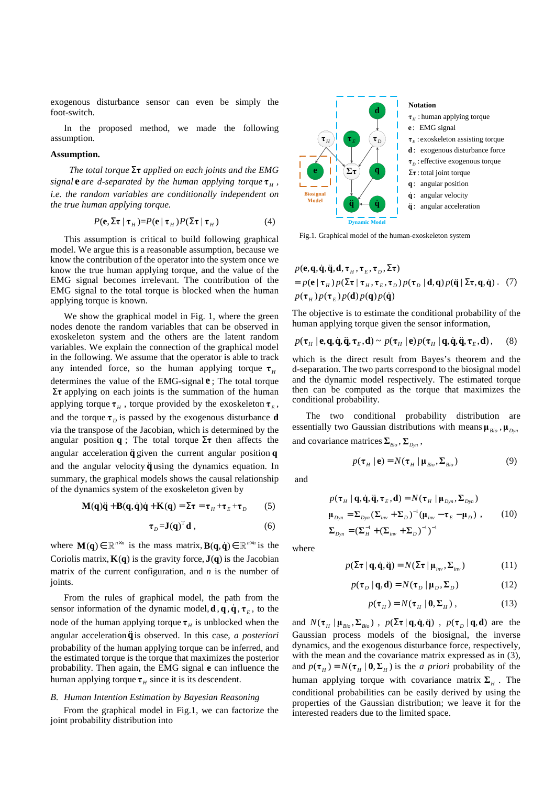exogenous disturbance sensor can even be simply the foot-switch.

In the proposed method, we made the following assumption.

## **Assumption.**

*The total torque* Στ *applied on each joints and the EMG signal* **e** *are d-separated by the human applying torque*  $\tau$ <sub>*H</sub>*,</sub> *i.e. the random variables are conditionally independent on the true human applying torque.* 

$$
P(\mathbf{e}, \Sigma \boldsymbol{\tau} \mid \boldsymbol{\tau}_H) = P(\mathbf{e} \mid \boldsymbol{\tau}_H) P(\Sigma \boldsymbol{\tau} \mid \boldsymbol{\tau}_H)
$$
(4)

This assumption is critical to build following graphical model. We argue this is a reasonable assumption, because we know the contribution of the operator into the system once we know the true human applying torque, and the value of the EMG signal becomes irrelevant. The contribution of the EMG signal to the total torque is blocked when the human applying torque is known.

We show the graphical model in Fig. 1, where the green nodes denote the random variables that can be observed in exoskeleton system and the others are the latent random variables. We explain the connection of the graphical model in the following. We assume that the operator is able to track any intended force, so the human applying torque  $\tau$ <sub>H</sub> determines the value of the EMG-signal **e** ; The total torque  $Στ$  applying on each joints is the summation of the human applying torque  $\tau$ <sub>H</sub>, torque provided by the exoskeleton  $\tau$ <sub>E</sub>, and the torque  $\tau_p$  is passed by the exogenous disturbance **d** via the transpose of the Jacobian, which is determined by the angular position **q** ; The total torque  $\Sigma \tau$  then affects the angular acceleration  $\ddot{q}$  given the current angular position  $q$ and the angular velocity  $\ddot{q}$  using the dynamics equation. In summary, the graphical models shows the causal relationship of the dynamics system of the exoskeleton given by

$$
\mathbf{M}(\mathbf{q})\ddot{\mathbf{q}} + \mathbf{B}(\mathbf{q}, \dot{\mathbf{q}})\dot{\mathbf{q}} + \mathbf{K}(\mathbf{q}) = \Sigma \boldsymbol{\tau} = \boldsymbol{\tau}_H + \boldsymbol{\tau}_E + \boldsymbol{\tau}_D \qquad (5)
$$

$$
\boldsymbol{\tau}_D = \mathbf{J}(\mathbf{q})^{\mathrm{T}} \mathbf{d} \tag{6}
$$

where  $\mathbf{M}(\mathbf{q}) \in \mathbb{R}^{n \times n}$  is the mass matrix,  $\mathbf{B}(\mathbf{q}, \dot{\mathbf{q}}) \in \mathbb{R}^{n \times n}$  is the Coriolis matrix,  $\mathbf{K}(\mathbf{q})$  is the gravity force,  $\mathbf{J}(\mathbf{q})$  is the Jacobian matrix of the current configuration, and *n* is the number of joints.

From the rules of graphical model, the path from the sensor information of the dynamic model,  $\mathbf{d}$ ,  $\dot{\mathbf{q}}$ ,  $\dot{\mathbf{q}}$ ,  $\dot{\mathbf{r}}_E$ , to the node of the human applying torque  $\tau$ <sub>H</sub> is unblocked when the angular acceleration  $\ddot{\mathbf{q}}$  is observed. In this case, *a posteriori* probability of the human applying torque can be inferred, and the estimated torque is the torque that maximizes the posterior probability. Then again, the EMG signal **e** can influence the human applying torque  $\tau$ <sub>H</sub> since it is its descendent.

## *B. Human Intention Estimation by Bayesian Reasoning*

From the graphical model in Fig.1, we can factorize the joint probability distribution into



Fig.1. Graphical model of the human-exoskeleton system

$$
p(\mathbf{e}, \mathbf{q}, \dot{\mathbf{q}}, \ddot{\mathbf{q}}, \mathbf{d}, \boldsymbol{\tau}_H, \boldsymbol{\tau}_E, \boldsymbol{\tau}_D, \boldsymbol{\Sigma}\boldsymbol{\tau})
$$
  
=  $p(\mathbf{e} | \boldsymbol{\tau}_H) p(\boldsymbol{\Sigma}\boldsymbol{\tau} | \boldsymbol{\tau}_H, \boldsymbol{\tau}_E, \boldsymbol{\tau}_D) p(\boldsymbol{\tau}_D | \mathbf{d}, \mathbf{q}) p(\ddot{\mathbf{q}} | \boldsymbol{\Sigma}\boldsymbol{\tau}, \mathbf{q}, \dot{\mathbf{q}}).$  (7)  
 $p(\boldsymbol{\tau}_H) p(\boldsymbol{\tau}_E) p(\mathbf{d}) p(\mathbf{q}) p(\dot{\mathbf{q}})$ 

The objective is to estimate the conditional probability of the human applying torque given the sensor information,

$$
p(\boldsymbol{\tau}_H \mid \mathbf{e}, \mathbf{q}, \dot{\mathbf{q}}, \ddot{\mathbf{q}}, \boldsymbol{\tau}_E, \mathbf{d}) \sim p(\boldsymbol{\tau}_H \mid \mathbf{e}) p(\boldsymbol{\tau}_H \mid \mathbf{q}, \dot{\mathbf{q}}, \ddot{\mathbf{q}}, \boldsymbol{\tau}_E, \mathbf{d}), \quad (8)
$$

which is the direct result from Bayes's theorem and the d-separation. The two parts correspond to the biosignal model and the dynamic model respectively. The estimated torque then can be computed as the torque that maximizes the conditional probability.

The two conditional probability distribution are essentially two Gaussian distributions with means  $\mu_{Bio}$ ,  $\mu_{Dyn}$ and covariance matrices  $\Sigma_{\scriptscriptstyle Bio}$ ,  $\Sigma_{\scriptscriptstyle Dvn}$ ,

and

$$
p(\tau_H | \mathbf{q}, \dot{\mathbf{q}}, \ddot{\mathbf{q}}, \tau_E, \mathbf{d}) = N(\tau_H | \mathbf{\mu}_{Dyn}, \Sigma_{Dyn})
$$
  

$$
\mathbf{\mu}_{Dyn} = \Sigma_{Dyn} (\Sigma_{inv} + \Sigma_D)^{-1} (\mathbf{\mu}_{inv} - \tau_E - \mathbf{\mu}_D) , \qquad (10)
$$
  

$$
\Sigma_{Dyn} = (\Sigma_H^{-1} + (\Sigma_{inv} + \Sigma_D)^{-1})^{-1}
$$

 $p(\tau_{H} | \mathbf{e}) = N(\tau_{H} | \mathbf{\mu}_{Bio}, \Sigma_{Bio})$  (9)

where

$$
p(\Sigma \tau \mid \mathbf{q}, \dot{\mathbf{q}}, \ddot{\mathbf{q}}) = N(\Sigma \tau \mid \mathbf{\mu}_{\text{inv}}, \Sigma_{\text{inv}})
$$
(11)

$$
p(\tau_D | \mathbf{q}, \mathbf{d}) = N(\tau_D | \mathbf{\mu}_D, \Sigma_D)
$$
 (12)

$$
p(\tau_H) = N(\tau_H | \mathbf{0}, \Sigma_H), \qquad (13)
$$

and  $N(\tau_H | \mu_{Bio}, \Sigma_{Bio})$ ,  $p(\Sigma \tau | q, \dot{q}, \ddot{q})$ ,  $p(\tau_D | q, d)$  are the Gaussian process models of the biosignal, the inverse dynamics, and the exogenous disturbance force, respectively, with the mean and the covariance matrix expressed as in (3), and  $p(\tau_H) = N(\tau_H | \mathbf{0}, \Sigma_H)$  is the *a priori* probability of the human applying torque with covariance matrix  $\Sigma$ <sub>*H*</sub>. The conditional probabilities can be easily derived by using the properties of the Gaussian distribution; we leave it for the interested readers due to the limited space.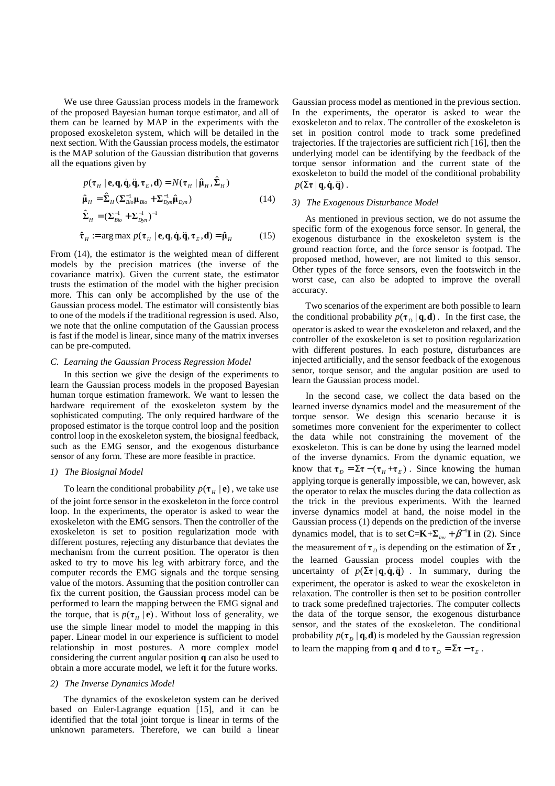We use three Gaussian process models in the framework of the proposed Bayesian human torque estimator, and all of them can be learned by MAP in the experiments with the proposed exoskeleton system, which will be detailed in the next section. With the Gaussian process models, the estimator is the MAP solution of the Gaussian distribution that governs all the equations given by

$$
p(\mathbf{\tau}_H \mid \mathbf{e}, \mathbf{q}, \dot{\mathbf{q}}, \ddot{\mathbf{q}}, \mathbf{\tau}_E, \mathbf{d}) = N(\mathbf{\tau}_H \mid \hat{\mathbf{\mu}}_H, \hat{\Sigma}_H)
$$
  
\n
$$
\hat{\mathbf{\mu}}_H = \hat{\Sigma}_H (\Sigma_{Bio}^{-1} \mathbf{\mu}_{Bio} + \Sigma_{Dyn}^{-1} \hat{\mathbf{\mu}}_{Dyn})
$$
\n
$$
\hat{\Sigma}_H = (\Sigma_{Bio}^{-1} + \Sigma_{Dyn}^{-1})^{-1}
$$
\n
$$
\hat{\mathbf{\tau}}_H := \arg \max p(\mathbf{\tau}_H \mid \mathbf{e}, \mathbf{q}, \dot{\mathbf{q}}, \ddot{\mathbf{q}}, \mathbf{\tau}_E, \mathbf{d}) = \hat{\mathbf{\mu}}_H
$$
\n(15)

From (14), the estimator is the weighted mean of different models by the precision matrices (the inverse of the covariance matrix). Given the current state, the estimator trusts the estimation of the model with the higher precision more. This can only be accomplished by the use of the Gaussian process model. The estimator will consistently bias to one of the models if the traditional regression is used. Also, we note that the online computation of the Gaussian process is fast if the model is linear, since many of the matrix inverses can be pre-computed.

## *C. Learning the Gaussian Process Regression Model*

In this section we give the design of the experiments to learn the Gaussian process models in the proposed Bayesian human torque estimation framework. We want to lessen the hardware requirement of the exoskeleton system by the sophisticated computing. The only required hardware of the proposed estimator is the torque control loop and the position control loop in the exoskeleton system, the biosignal feedback, such as the EMG sensor, and the exogenous disturbance sensor of any form. These are more feasible in practice.

### *1) The Biosignal Model*

To learn the conditional probability  $p(\tau_H | \mathbf{e})$ , we take use of the joint force sensor in the exoskeleton in the force control loop. In the experiments, the operator is asked to wear the exoskeleton with the EMG sensors. Then the controller of the exoskeleton is set to position regularization mode with different postures, rejecting any disturbance that deviates the mechanism from the current position. The operator is then asked to try to move his leg with arbitrary force, and the computer records the EMG signals and the torque sensing value of the motors. Assuming that the position controller can fix the current position, the Gaussian process model can be performed to learn the mapping between the EMG signal and the torque, that is  $p(\tau_H | e)$ . Without loss of generality, we use the simple linear model to model the mapping in this paper. Linear model in our experience is sufficient to model relationship in most postures. A more complex model considering the current angular position **q** can also be used to obtain a more accurate model, we left it for the future works.

#### *2) The Inverse Dynamics Model*

The dynamics of the exoskeleton system can be derived based on Euler-Lagrange equation [15], and it can be identified that the total joint torque is linear in terms of the unknown parameters. Therefore, we can build a linear

Gaussian process model as mentioned in the previous section. In the experiments, the operator is asked to wear the exoskeleton and to relax. The controller of the exoskeleton is set in position control mode to track some predefined trajectories. If the trajectories are sufficient rich [16], then the underlying model can be identifying by the feedback of the torque sensor information and the current state of the exoskeleton to build the model of the conditional probability  $p(\Sigma \tau | \mathbf{q}, \dot{\mathbf{q}}, \ddot{\mathbf{q}})$ .

### *3) The Exogenous Disturbance Model*

As mentioned in previous section, we do not assume the specific form of the exogenous force sensor. In general, the exogenous disturbance in the exoskeleton system is the ground reaction force, and the force sensor is footpad. The proposed method, however, are not limited to this sensor. Other types of the force sensors, even the footswitch in the worst case, can also be adopted to improve the overall accuracy.

Two scenarios of the experiment are both possible to learn the conditional probability  $p(\tau_p | q, d)$ . In the first case, the operator is asked to wear the exoskeleton and relaxed, and the controller of the exoskeleton is set to position regularization with different postures. In each posture, disturbances are injected artificially, and the sensor feedback of the exogenous senor, torque sensor, and the angular position are used to learn the Gaussian process model.

In the second case, we collect the data based on the learned inverse dynamics model and the measurement of the torque sensor. We design this scenario because it is sometimes more convenient for the experimenter to collect the data while not constraining the movement of the exoskeleton. This is can be done by using the learned model of the inverse dynamics. From the dynamic equation, we know that  $\tau_D = \Sigma \tau - (\tau_H + \tau_E)$ . Since knowing the human applying torque is generally impossible, we can, however, ask the operator to relax the muscles during the data collection as the trick in the previous experiments. With the learned inverse dynamics model at hand, the noise model in the Gaussian process (1) depends on the prediction of the inverse dynamics model, that is to set  $\mathbf{C} = \mathbf{K} + \mathbf{\Sigma}_{inv} + \beta^{-1} \mathbf{I}$  in (2). Since the measurement of  $\tau_p$  is depending on the estimation of  $\Sigma \tau$ , the learned Gaussian process model couples with the uncertainty of  $p(\Sigma \tau | q, \dot{q}, \ddot{q})$ . In summary, during the experiment, the operator is asked to wear the exoskeleton in relaxation. The controller is then set to be position controller to track some predefined trajectories. The computer collects the data of the torque sensor, the exogenous disturbance sensor, and the states of the exoskeleton. The conditional probability  $p(\tau_p | q, d)$  is modeled by the Gaussian regression to learn the mapping from **q** and **d** to  $\tau_p = \Sigma \tau - \tau_F$ .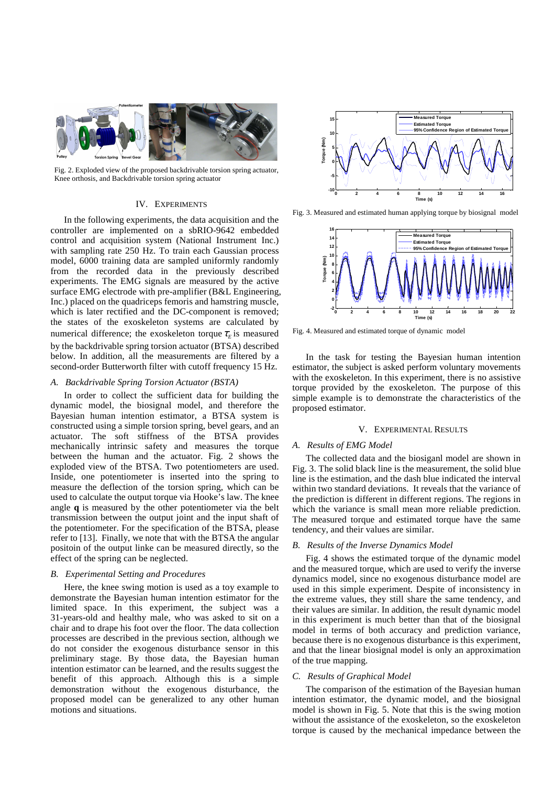

Fig. 2. Exploded view of the proposed backdrivable torsion spring actuator, Knee orthosis, and Backdrivable torsion spring actuator

#### IV. EXPERIMENTS

In the following experiments, the data acquisition and the controller are implemented on a sbRIO-9642 embedded control and acquisition system (National Instrument Inc.) with sampling rate 250 Hz. To train each Gaussian process model, 6000 training data are sampled uniformly randomly from the recorded data in the previously described experiments. The EMG signals are measured by the active surface EMG electrode with pre-amplifier (B&L Engineering, Inc.) placed on the quadriceps femoris and hamstring muscle, which is later rectified and the DC-component is removed; the states of the exoskeleton systems are calculated by numerical difference; the exoskeleton torque  $\tau_E$  is measured by the backdrivable spring torsion actuator (BTSA) described below. In addition, all the measurements are filtered by a second-order Butterworth filter with cutoff frequency 15 Hz.

## *A. Backdrivable Spring Torsion Actuator (BSTA)*

In order to collect the sufficient data for building the dynamic model, the biosignal model, and therefore the Bayesian human intention estimator, a BTSA system is constructed using a simple torsion spring, bevel gears, and an actuator. The soft stiffness of the BTSA provides mechanically intrinsic safety and measures the torque between the human and the actuator. Fig. 2 shows the exploded view of the BTSA. Two potentiometers are used. Inside, one potentiometer is inserted into the spring to measure the deflection of the torsion spring, which can be used to calculate the output torque via Hooke's law. The knee angle **q** is measured by the other potentiometer via the belt transmission between the output joint and the input shaft of the potentiometer. For the specification of the BTSA, please refer to [13]. Finally, we note that with the BTSA the angular positoin of the output linke can be measured directly, so the effect of the spring can be neglected.

#### *B. Experimental Setting and Procedures*

Here, the knee swing motion is used as a toy example to demonstrate the Bayesian human intention estimator for the limited space. In this experiment, the subject was a 31-years-old and healthy male, who was asked to sit on a chair and to drape his foot over the floor. The data collection processes are described in the previous section, although we do not consider the exogenous disturbance sensor in this preliminary stage. By those data, the Bayesian human intention estimator can be learned, and the results suggest the benefit of this approach. Although this is a simple demonstration without the exogenous disturbance, the proposed model can be generalized to any other human motions and situations.



Fig. 3. Measured and estimated human applying torque by biosignal model



Fig. 4. Measured and estimated torque of dynamic model

In the task for testing the Bayesian human intention estimator, the subject is asked perform voluntary movements with the exoskeleton. In this experiment, there is no assistive torque provided by the exoskeleton. The purpose of this simple example is to demonstrate the characteristics of the proposed estimator.

### V. EXPERIMENTAL RESULTS

### *A. Results of EMG Model*

The collected data and the biosiganl model are shown in Fig. 3. The solid black line is the measurement, the solid blue line is the estimation, and the dash blue indicated the interval within two standard deviations. It reveals that the variance of the prediction is different in different regions. The regions in which the variance is small mean more reliable prediction. The measured torque and estimated torque have the same tendency, and their values are similar.

## *B. Results of the Inverse Dynamics Model*

Fig. 4 shows the estimated torque of the dynamic model and the measured torque, which are used to verify the inverse dynamics model, since no exogenous disturbance model are used in this simple experiment. Despite of inconsistency in the extreme values, they still share the same tendency, and their values are similar. In addition, the result dynamic model in this experiment is much better than that of the biosignal model in terms of both accuracy and prediction variance, because there is no exogenous disturbance is this experiment, and that the linear biosignal model is only an approximation of the true mapping.

#### *C. Results of Graphical Model*

The comparison of the estimation of the Bayesian human intention estimator, the dynamic model, and the biosignal model is shown in Fig. 5. Note that this is the swing motion without the assistance of the exoskeleton, so the exoskeleton torque is caused by the mechanical impedance between the